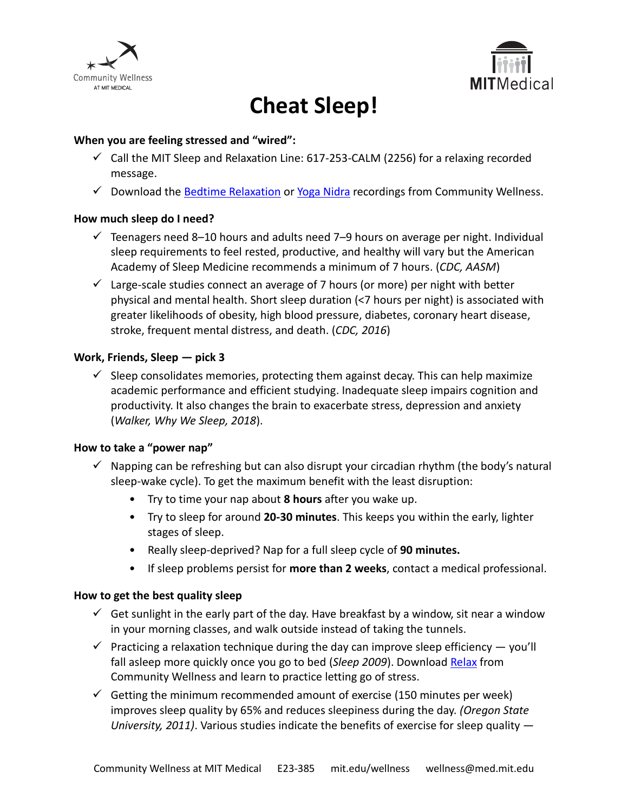



# **Cheat Sleep!**

#### **When you are feeling stressed and "wired":**

- $\checkmark$  Call the MIT Sleep and Relaxation Line: 617-253-CALM (2256) for a relaxing recorded message.
- $\checkmark$  Download the [Bedtime Relaxation](https://medical.mit.edu/community/sleep/resources) or [Yoga Nidra](https://medical.mit.edu/community/sleep/resources) recordings from Community Wellness.

#### **How much sleep do I need?**

- $\checkmark$  Teenagers need 8–10 hours and adults need 7–9 hours on average per night. Individual sleep requirements to feel rested, productive, and healthy will vary but the American Academy of Sleep Medicine recommends a minimum of 7 hours. (*CDC, AASM*)
- $\checkmark$  Large-scale studies connect an average of 7 hours (or more) per night with better physical and mental health. Short sleep duration (<7 hours per night) is associated with greater likelihoods of obesity, high blood pressure, diabetes, coronary heart disease, stroke, frequent mental distress, and death. (*CDC, 2016*)

### **Work, Friends, Sleep — pick 3**

 $\checkmark$  Sleep consolidates memories, protecting them against decay. This can help maximize academic performance and efficient studying. Inadequate sleep impairs cognition and productivity. It also changes the brain to exacerbate stress, depression and anxiety (*Walker, Why We Sleep, 2018*).

#### **How to take a "power nap"**

- $\checkmark$  Napping can be refreshing but can also disrupt your circadian rhythm (the body's natural sleep-wake cycle). To get the maximum benefit with the least disruption:
	- Try to time your nap about **8 hours** after you wake up.
	- Try to sleep for around **20-30 minutes**. This keeps you within the early, lighter stages of sleep.
	- Really sleep-deprived? Nap for a full sleep cycle of **90 minutes.**
	- If sleep problems persist for **more than 2 weeks**, contact a medical professional.

#### **How to get the best quality sleep**

- $\checkmark$  Get sunlight in the early part of the day. Have breakfast by a window, sit near a window in your morning classes, and walk outside instead of taking the tunnels.
- $\checkmark$  Practicing a relaxation technique during the day can improve sleep efficiency  $-$  you'll fall asleep more quickly once you go to bed (*Sleep 2009*). Download [Relax](https://medical.mit.edu/community/sleep/resources) from Community Wellness and learn to practice letting go of stress.
- $\checkmark$  Getting the minimum recommended amount of exercise (150 minutes per week) improves sleep quality by 65% and reduces sleepiness during the day. *(Oregon State University, 2011)*. Various studies indicate the benefits of exercise for sleep quality —